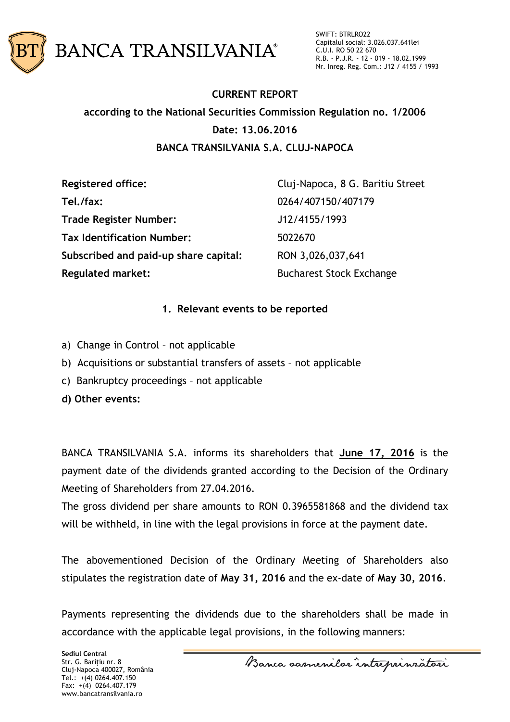

SWIFT: BTRLRO22 Capitalul social: 3.026.037.641lei C.U.I. RO 50 22 670 R.B. - P.J.R. - 12 - 019 - 18.02.1999 Nr. Inreg. Reg. Com.: J12 / 4155 / 1993

# **CURRENT REPORT according to the National Securities Commission Regulation no. 1/2006 Date: 13.06.2016 BANCA TRANSILVANIA S.A. CLUJ-NAPOCA**

| <b>Registered office:</b>             | Cluj-Napoca, 8 G. Baritiu Street |
|---------------------------------------|----------------------------------|
| Tel./fax:                             | 0264/407150/407179               |
| <b>Trade Register Number:</b>         | J12/4155/1993                    |
| <b>Tax Identification Number:</b>     | 5022670                          |
| Subscribed and paid-up share capital: | RON 3,026,037,641                |
| <b>Regulated market:</b>              | <b>Bucharest Stock Exchange</b>  |

#### **1. Relevant events to be reported**

- a) Change in Control not applicable
- b) Acquisitions or substantial transfers of assets not applicable
- c) Bankruptcy proceedings not applicable
- **d) Other events:**

BANCA TRANSILVANIA S.A. informs its shareholders that **June 17, 2016** is the payment date of the dividends granted according to the Decision of the Ordinary Meeting of Shareholders from 27.04.2016.

The gross dividend per share amounts to RON 0.3965581868 and the dividend tax will be withheld, in line with the legal provisions in force at the payment date.

The abovementioned Decision of the Ordinary Meeting of Shareholders also stipulates the registration date of **May 31, 2016** and the ex-date of **May 30, 2016**.

Payments representing the dividends due to the shareholders shall be made in accordance with the applicable legal provisions, in the following manners: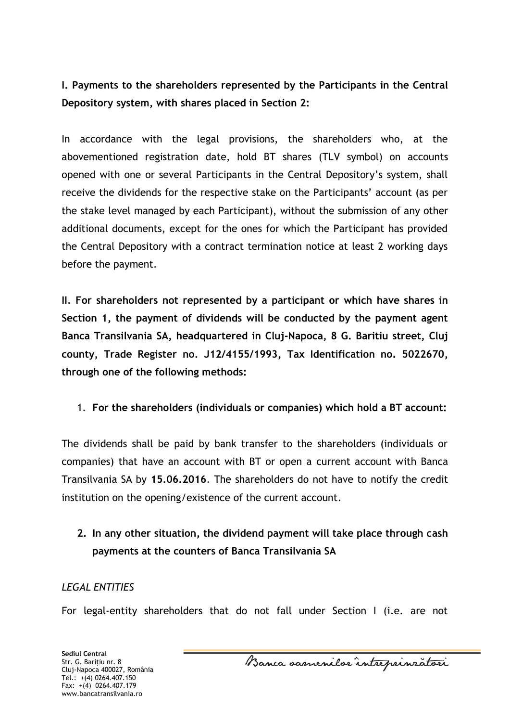**I. Payments to the shareholders represented by the Participants in the Central Depository system, with shares placed in Section 2:**

In accordance with the legal provisions, the shareholders who, at the abovementioned registration date, hold BT shares (TLV symbol) on accounts opened with one or several Participants in the Central Depository's system, shall receive the dividends for the respective stake on the Participants' account (as per the stake level managed by each Participant), without the submission of any other additional documents, except for the ones for which the Participant has provided the Central Depository with a contract termination notice at least 2 working days before the payment.

**II. For shareholders not represented by a participant or which have shares in Section 1, the payment of dividends will be conducted by the payment agent Banca Transilvania SA, headquartered in Cluj-Napoca, 8 G. Baritiu street, Cluj county, Trade Register no. J12/4155/1993, Tax Identification no. 5022670, through one of the following methods:** 

1. **For the shareholders (individuals or companies) which hold a BT account:** 

The dividends shall be paid by bank transfer to the shareholders (individuals or companies) that have an account with BT or open a current account with Banca Transilvania SA by **15.06.2016**. The shareholders do not have to notify the credit institution on the opening/existence of the current account.

## **2. In any other situation, the dividend payment will take place through cash payments at the counters of Banca Transilvania SA**

### *LEGAL ENTITIES*

For legal-entity shareholders that do not fall under Section I (i.e. are not

**Sediul Central** Str. G. Bariţiu nr. 8 Cluj-Napoca 400027, România Tel.: +(4) 0264.407.150 Fax: +(4) 0264.407.179 www.bancatransilvania.ro

Banca samenilor intreprinzatori